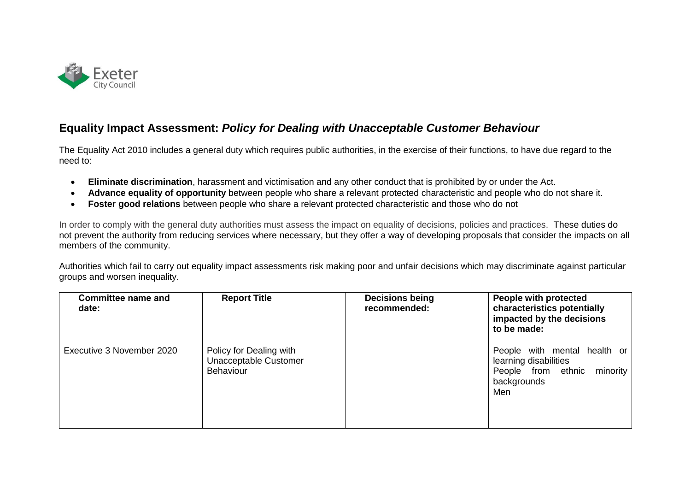

## **Equality Impact Assessment:** *Policy for Dealing with Unacceptable Customer Behaviour*

The Equality Act 2010 includes a general duty which requires public authorities, in the exercise of their functions, to have due regard to the need to:

- **Eliminate discrimination**, harassment and victimisation and any other conduct that is prohibited by or under the Act.
- **Advance equality of opportunity** between people who share a relevant protected characteristic and people who do not share it.
- **Foster good relations** between people who share a relevant protected characteristic and those who do not

In order to comply with the general duty authorities must assess the impact on equality of decisions, policies and practices. These duties do not prevent the authority from reducing services where necessary, but they offer a way of developing proposals that consider the impacts on all members of the community.

Authorities which fail to carry out equality impact assessments risk making poor and unfair decisions which may discriminate against particular groups and worsen inequality.

| <b>Committee name and</b><br>date: | <b>Report Title</b>                                                  | <b>Decisions being</b><br>recommended: | People with protected<br>characteristics potentially<br>impacted by the decisions<br>to be made:           |
|------------------------------------|----------------------------------------------------------------------|----------------------------------------|------------------------------------------------------------------------------------------------------------|
| Executive 3 November 2020          | Policy for Dealing with<br>Unacceptable Customer<br><b>Behaviour</b> |                                        | People with mental health or<br>learning disabilities<br>People from ethnic minority<br>backgrounds<br>Men |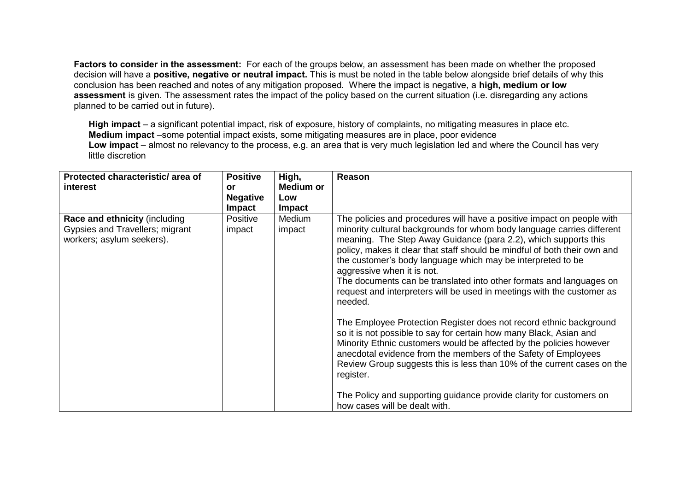**Factors to consider in the assessment:** For each of the groups below, an assessment has been made on whether the proposed decision will have a **positive, negative or neutral impact.** This is must be noted in the table below alongside brief details of why this conclusion has been reached and notes of any mitigation proposed. Where the impact is negative, a **high, medium or low assessment** is given. The assessment rates the impact of the policy based on the current situation (i.e. disregarding any actions planned to be carried out in future).

**High impact** – a significant potential impact, risk of exposure, history of complaints, no mitigating measures in place etc. **Medium impact** –some potential impact exists, some mitigating measures are in place, poor evidence **Low impact** – almost no relevancy to the process, e.g. an area that is very much legislation led and where the Council has very little discretion

| Protected characteristic/ area of                                                             | <b>Positive</b>                  | High,            | Reason                                                                                                                                                                                                                                                                                                                                                                                                                                                                                                                                                                                                                                                                                                                                                                                                                                                                                                                                 |
|-----------------------------------------------------------------------------------------------|----------------------------------|------------------|----------------------------------------------------------------------------------------------------------------------------------------------------------------------------------------------------------------------------------------------------------------------------------------------------------------------------------------------------------------------------------------------------------------------------------------------------------------------------------------------------------------------------------------------------------------------------------------------------------------------------------------------------------------------------------------------------------------------------------------------------------------------------------------------------------------------------------------------------------------------------------------------------------------------------------------|
| interest                                                                                      | or                               | <b>Medium or</b> |                                                                                                                                                                                                                                                                                                                                                                                                                                                                                                                                                                                                                                                                                                                                                                                                                                                                                                                                        |
|                                                                                               | <b>Negative</b><br><b>Impact</b> | Low<br>Impact    |                                                                                                                                                                                                                                                                                                                                                                                                                                                                                                                                                                                                                                                                                                                                                                                                                                                                                                                                        |
| Race and ethnicity (including<br>Gypsies and Travellers; migrant<br>workers; asylum seekers). | Positive<br>impact               | Medium<br>impact | The policies and procedures will have a positive impact on people with<br>minority cultural backgrounds for whom body language carries different<br>meaning. The Step Away Guidance (para 2.2), which supports this<br>policy, makes it clear that staff should be mindful of both their own and<br>the customer's body language which may be interpreted to be<br>aggressive when it is not.<br>The documents can be translated into other formats and languages on<br>request and interpreters will be used in meetings with the customer as<br>needed.<br>The Employee Protection Register does not record ethnic background<br>so it is not possible to say for certain how many Black, Asian and<br>Minority Ethnic customers would be affected by the policies however<br>anecdotal evidence from the members of the Safety of Employees<br>Review Group suggests this is less than 10% of the current cases on the<br>register. |
|                                                                                               |                                  |                  | The Policy and supporting guidance provide clarity for customers on<br>how cases will be dealt with.                                                                                                                                                                                                                                                                                                                                                                                                                                                                                                                                                                                                                                                                                                                                                                                                                                   |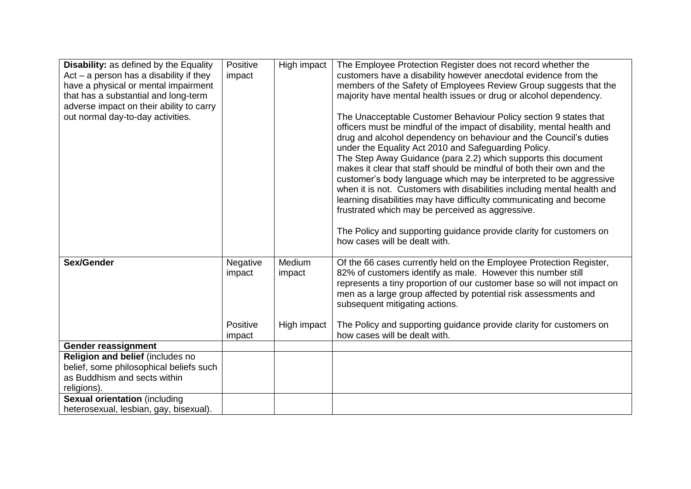| <b>Disability:</b> as defined by the Equality<br>Act $-$ a person has a disability if they<br>have a physical or mental impairment<br>that has a substantial and long-term<br>adverse impact on their ability to carry<br>out normal day-to-day activities. | Positive<br>impact | High impact      | The Employee Protection Register does not record whether the<br>customers have a disability however anecdotal evidence from the<br>members of the Safety of Employees Review Group suggests that the<br>majority have mental health issues or drug or alcohol dependency.<br>The Unacceptable Customer Behaviour Policy section 9 states that<br>officers must be mindful of the impact of disability, mental health and<br>drug and alcohol dependency on behaviour and the Council's duties<br>under the Equality Act 2010 and Safeguarding Policy.<br>The Step Away Guidance (para 2.2) which supports this document |
|-------------------------------------------------------------------------------------------------------------------------------------------------------------------------------------------------------------------------------------------------------------|--------------------|------------------|-------------------------------------------------------------------------------------------------------------------------------------------------------------------------------------------------------------------------------------------------------------------------------------------------------------------------------------------------------------------------------------------------------------------------------------------------------------------------------------------------------------------------------------------------------------------------------------------------------------------------|
|                                                                                                                                                                                                                                                             |                    |                  | makes it clear that staff should be mindful of both their own and the<br>customer's body language which may be interpreted to be aggressive<br>when it is not. Customers with disabilities including mental health and<br>learning disabilities may have difficulty communicating and become<br>frustrated which may be perceived as aggressive.<br>The Policy and supporting guidance provide clarity for customers on<br>how cases will be dealt with.                                                                                                                                                                |
| Sex/Gender                                                                                                                                                                                                                                                  | Negative<br>impact | Medium<br>impact | Of the 66 cases currently held on the Employee Protection Register,<br>82% of customers identify as male. However this number still<br>represents a tiny proportion of our customer base so will not impact on<br>men as a large group affected by potential risk assessments and<br>subsequent mitigating actions.                                                                                                                                                                                                                                                                                                     |
|                                                                                                                                                                                                                                                             | Positive<br>impact | High impact      | The Policy and supporting guidance provide clarity for customers on<br>how cases will be dealt with.                                                                                                                                                                                                                                                                                                                                                                                                                                                                                                                    |
| <b>Gender reassignment</b>                                                                                                                                                                                                                                  |                    |                  |                                                                                                                                                                                                                                                                                                                                                                                                                                                                                                                                                                                                                         |
| Religion and belief (includes no<br>belief, some philosophical beliefs such<br>as Buddhism and sects within<br>religions).                                                                                                                                  |                    |                  |                                                                                                                                                                                                                                                                                                                                                                                                                                                                                                                                                                                                                         |
| <b>Sexual orientation (including</b><br>heterosexual, lesbian, gay, bisexual).                                                                                                                                                                              |                    |                  |                                                                                                                                                                                                                                                                                                                                                                                                                                                                                                                                                                                                                         |